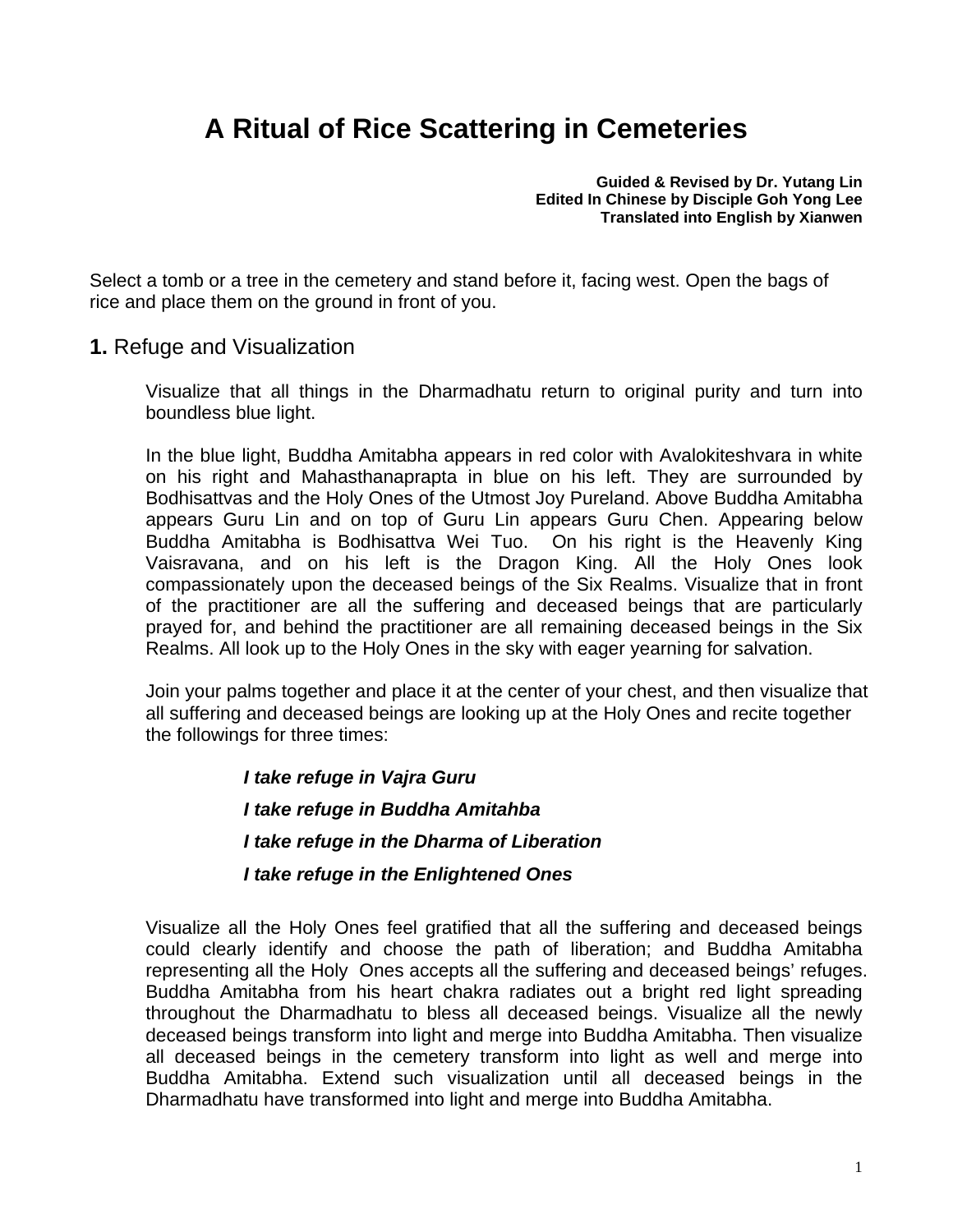# **A Ritual of Rice Scattering in Cemeteries**

**Guided & Revised by Dr. Yutang Lin Edited In Chinese by Disciple Goh Yong Lee Translated into English by Xianwen** 

Select a tomb or a tree in the cemetery and stand before it, facing west. Open the bags of rice and place them on the ground in front of you.

**1.** Refuge and Visualization

Visualize that all things in the Dharmadhatu return to original purity and turn into boundless blue light.

In the blue light, Buddha Amitabha appears in red color with Avalokiteshvara in white on his right and Mahasthanaprapta in blue on his left. They are surrounded by Bodhisattvas and the Holy Ones of the Utmost Joy Pureland. Above Buddha Amitabha appears Guru Lin and on top of Guru Lin appears Guru Chen. Appearing below Buddha Amitabha is Bodhisattva Wei Tuo. On his right is the Heavenly King Vaisravana, and on his left is the Dragon King. All the Holy Ones look compassionately upon the deceased beings of the Six Realms. Visualize that in front of the practitioner are all the suffering and deceased beings that are particularly prayed for, and behind the practitioner are all remaining deceased beings in the Six Realms. All look up to the Holy Ones in the sky with eager yearning for salvation.

Join your palms together and place it at the center of your chest, and then visualize that all suffering and deceased beings are looking up at the Holy Ones and recite together the followings for three times:

> *I take refuge in Vajra Guru* *I take refuge in Buddha Amitahba I take refuge in the Dharma of Liberation* *I take refuge in the Enlightened Ones*

Visualize all the Holy Ones feel gratified that all the suffering and deceased beings could clearly identify and choose the path of liberation; and Buddha Amitabha representing all the Holy Ones accepts all the suffering and deceased beings' refuges. Buddha Amitabha from his heart chakra radiates out a bright red light spreading throughout the Dharmadhatu to bless all deceased beings. Visualize all the newly deceased beings transform into light and merge into Buddha Amitabha. Then visualize all deceased beings in the cemetery transform into light as well and merge into Buddha Amitabha. Extend such visualization until all deceased beings in the Dharmadhatu have transformed into light and merge into Buddha Amitabha.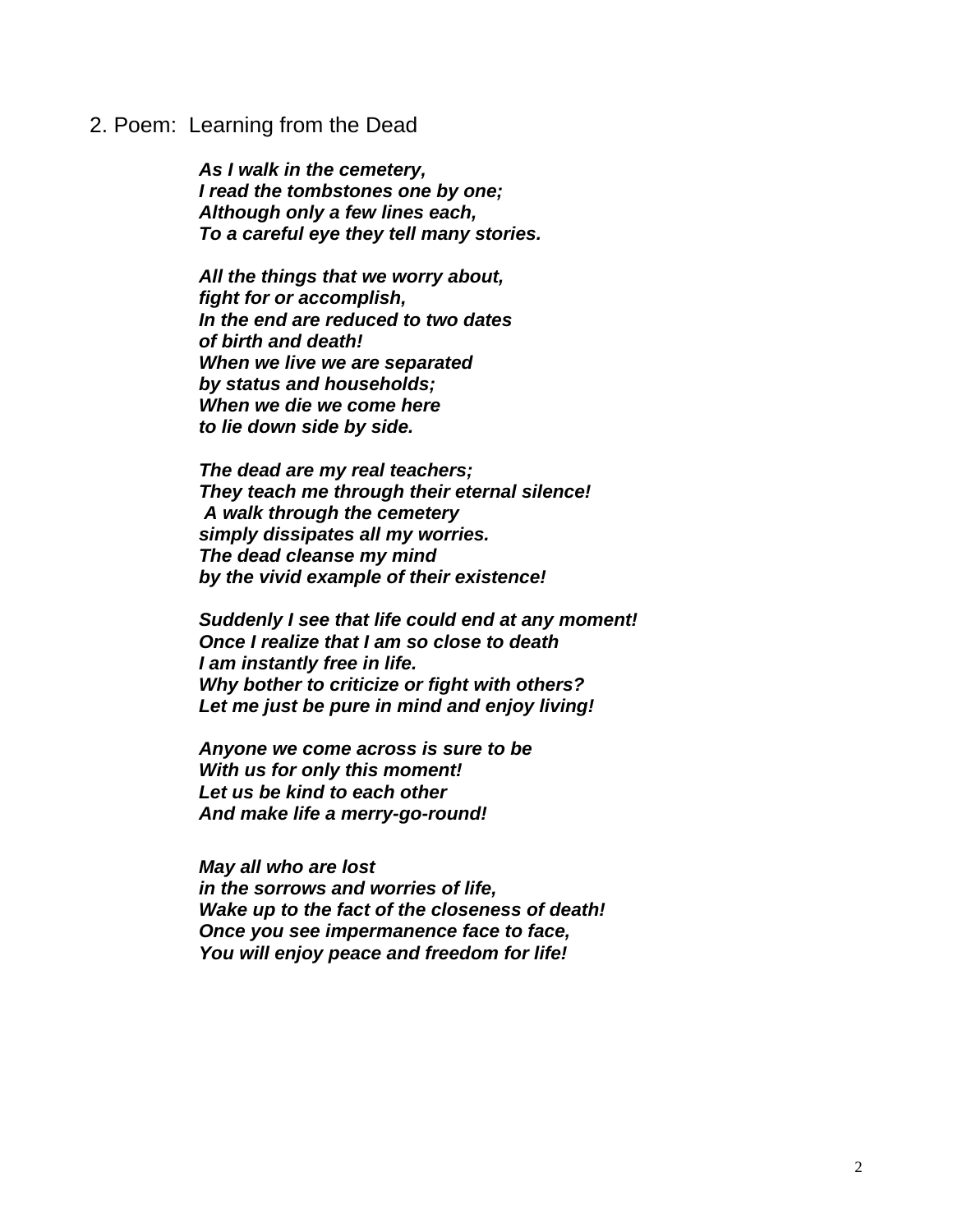#### 2. Poem: Learning from the Dead

*As I walk in the cemetery, I read the tombstones one by one; Although only a few lines each, To a careful eye they tell many stories.* 

*All the things that we worry about, fight for or accomplish, In the end are reduced to two dates of birth and death! When we live we are separated by status and households; When we die we come here to lie down side by side.* 

*The dead are my real teachers; They teach me through their eternal silence! A walk through the cemetery simply dissipates all my worries. The dead cleanse my mind by the vivid example of their existence!* 

*Suddenly I see that life could end at any moment! Once I realize that I am so close to death I am instantly free in life. Why bother to criticize or fight with others? Let me just be pure in mind and enjoy living!* 

*Anyone we come across is sure to be With us for only this moment! Let us be kind to each other And make life a merry-go-round!* 

*May all who are lost in the sorrows and worries of life, Wake up to the fact of the closeness of death! Once you see impermanence face to face, You will enjoy peace and freedom for life!*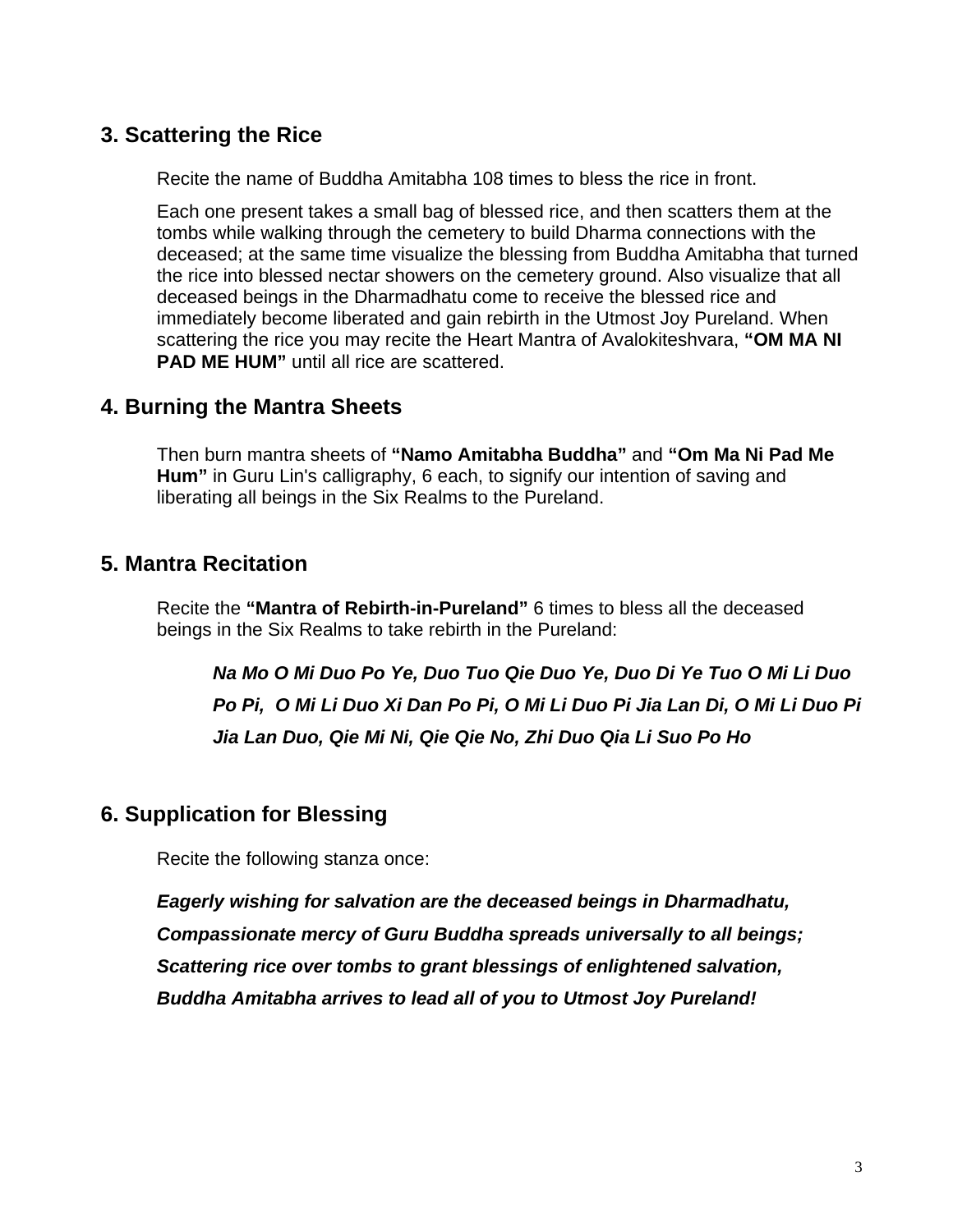### **3. Scattering the Rice**

Recite the name of Buddha Amitabha 108 times to bless the rice in front.

Each one present takes a small bag of blessed rice, and then scatters them at the tombs while walking through the cemetery to build Dharma connections with the deceased; at the same time visualize the blessing from Buddha Amitabha that turned the rice into blessed nectar showers on the cemetery ground. Also visualize that all deceased beings in the Dharmadhatu come to receive the blessed rice and immediately become liberated and gain rebirth in the Utmost Joy Pureland. When scattering the rice you may recite the Heart Mantra of Avalokiteshvara, **"OM MA NI PAD ME HUM"** until all rice are scattered.

#### **4. Burning the Mantra Sheets**

Then burn mantra sheets of **"Namo Amitabha Buddha"** and **"Om Ma Ni Pad Me Hum"** in Guru Lin's calligraphy, 6 each, to signify our intention of saving and liberating all beings in the Six Realms to the Pureland.

### **5. Mantra Recitation**

Recite the **"Mantra of Rebirth-in-Pureland"** 6 times to bless all the deceased beings in the Six Realms to take rebirth in the Pureland:

*Na Mo O Mi Duo Po Ye, Duo Tuo Qie Duo Ye, Duo Di Ye Tuo O Mi Li Duo Po Pi, O Mi Li Duo Xi Dan Po Pi, O Mi Li Duo Pi Jia Lan Di, O Mi Li Duo Pi Jia Lan Duo, Qie Mi Ni, Qie Qie No, Zhi Duo Qia Li Suo Po Ho* 

#### **6. Supplication for Blessing**

Recite the following stanza once:

*Eagerly wishing for salvation are the deceased beings in Dharmadhatu, Compassionate mercy of Guru Buddha spreads universally to all beings; Scattering rice over tombs to grant blessings of enlightened salvation, Buddha Amitabha arrives to lead all of you to Utmost Joy Pureland!*